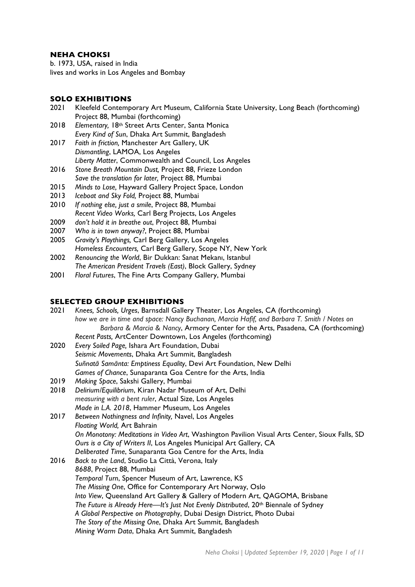# **NEHA CHOKSI**

b. 1973, USA, raised in India lives and works in Los Angeles and Bombay

## **SOLO EXHIBITIONS**

- 2021 Kleefeld Contemporary Art Museum, California State University, Long Beach (forthcoming) Project 88, Mumbai (forthcoming)
- 2018 *Elementary,* 18th Street Arts Center, Santa Monica *Every Kind of Sun*, Dhaka Art Summit, Bangladesh
- 2017 *Faith in friction,* Manchester Art Gallery, UK *Dismantling*, LAMOA, Los Angeles *Liberty Matter*, Commonwealth and Council, Los Angeles
- 2016 *Stone Breath Mountain Dust,* Project 88, Frieze London *Save the translation for later,* Project 88, Mumbai
- 2015 *Minds to Lose,* Hayward Gallery Project Space, London
- 2013 *Iceboat and Sky Fold,* Project 88, Mumbai
- If nothing else, just a smile, Project 88, Mumbai *Recent Video Works,* Carl Berg Projects, Los Angeles
- 2009 *don't hold it in breathe out*, Project 88, Mumbai
- 2007 *Who is in town anyway?*, Project 88, Mumbai
- 2005 *Gravity's Playthings,* Carl Berg Gallery, Los Angeles *Homeless Encounters,* Carl Berg Gallery, Scope NY, New York
- 2002 *Renouncing the World*, Bir Dukkan: Sanat Mekanı, Istanbul *The American President Travels (East)*, Block Gallery, Sydney
- 2001 *Floral Futures*, The Fine Arts Company Gallery, Mumbai

## **SELECTED GROUP EXHIBITIONS**

- 2021 *Knees, Schools, Urges*, Barnsdall Gallery Theater, Los Angeles, CA (forthcoming) *how we are in time and space: Nancy Buchanan, Marcia Hafif, and Barbara T. Smith / Notes on Barbara & Marcia & Nancy*, Armory Center for the Arts, Pasadena, CA (forthcoming) *Recent Pasts,* ArtCenter Downtown, Los Angeles (forthcoming)
- 2020 *Every Soiled Page,* Ishara Art Foundation, Dubai *Seismic Movements*, Dhaka Art Summit, Bangladesh *Suñnatā Samānta: Emptiness Equality*, Devi Art Foundation, New Delhi *Games of Chance*, Sunaparanta Goa Centre for the Arts, India
- 2019 *Making Space*, Sakshi Gallery, Mumbai
- 2018 *Delirium/Equilibrium*, Kiran Nadar Museum of Art, Delhi *measuring with a bent ruler*, Actual Size, Los Angeles *Made in L.A. 2018*, Hammer Museum, Los Angeles
- 2017 *Between Nothingness and Infinity,* Navel, Los Angeles *Floating World,* Art Bahrain *On Monotony: Meditations in Video Art*, Washington Pavilion Visual Arts Center, Sioux Falls, SD *Ours is a City of Writers II*, Los Angeles Municipal Art Gallery, CA *Deliberated Time*, Sunaparanta Goa Centre for the Arts, India 2016 *Back to the Land*, Studio La Città, Verona, Italy
- *8688*, Project 88, Mumbai *Temporal Turn*, Spencer Museum of Art, Lawrence, KS *The Missing One*, Office for Contemporary Art Norway, Oslo *Into View*, Queensland Art Gallery & Gallery of Modern Art, QAGOMA, Brisbane *The Future is Already Here—It's Just Not Evenly Distributed*, 20th Biennale of Sydney *A Global Perspective on Photography*, Dubai Design District, Photo Dubai *The Story of the Missing One*, Dhaka Art Summit, Bangladesh *Mining Warm Data*, Dhaka Art Summit, Bangladesh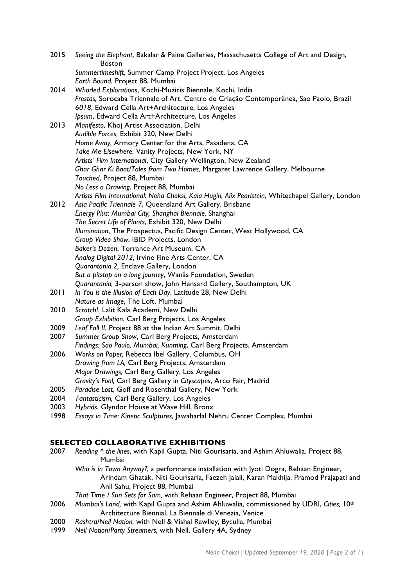| 2015 | Seeing the Elephant, Bakalar & Paine Galleries, Massachusetts College of Art and Design,<br><b>Boston</b> |
|------|-----------------------------------------------------------------------------------------------------------|
|      | Summertimeshift, Summer Camp Project Project, Los Angeles<br>Earth Bound, Project 88, Mumbai              |
| 2014 | Whorled Explorations, Kochi-Muziris Biennale, Kochi, India                                                |
|      | Frestas, Sorocaba Triennale of Art, Centro de Criação Contemporânea, Sao Paolo, Brazil                    |
|      | 6018, Edward Cella Art+Architecture, Los Angeles                                                          |
|      | Ipsum, Edward Cella Art+Architecture, Los Angeles                                                         |
| 2013 | Manifesto, Khoj Artist Association, Delhi                                                                 |
|      | Audible Forces, Exhibit 320, New Delhi                                                                    |
|      | Home Away, Armory Center for the Arts, Pasadena, CA                                                       |
|      | Take Me Elsewhere, Vanity Projects, New York, NY                                                          |
|      | Artists' Film International, City Gallery Wellington, New Zealand                                         |
|      | Ghar Ghar Ki Baat/Tales from Two Homes, Margaret Lawrence Gallery, Melbourne                              |
|      | Touched, Project 88, Mumbai                                                                               |
|      | No Less a Drawing, Project 88, Mumbai                                                                     |
|      | Artists Film International: Neha Choksi, Kaia Hugin, Alix Pearlstein, Whitechapel Gallery, London         |
| 2012 | Asia Pacific Triennale 7, Queensland Art Gallery, Brisbane                                                |
|      | Energy Plus: Mumbai City, Shanghai Biennale, Shanghai                                                     |
|      | The Secret Life of Plants, Exhibit 320, New Delhi                                                         |
|      | Illumination, The Prospectus, Pacific Design Center, West Hollywood, CA                                   |
|      | Group Video Show, IBID Projects, London                                                                   |
|      | Baker's Dozen, Torrance Art Museum, CA                                                                    |
|      | Analog Digital 2012, Irvine Fine Arts Center, CA                                                          |
|      | Quarantania 2, Enclave Gallery, London                                                                    |
|      | But a pitstop on a long journey, Wanås Foundation, Sweden                                                 |
|      | Quarantania, 3-person show, John Hansard Gallery, Southampton, UK                                         |
| 2011 | In You is the Illusion of Each Day, Latitude 28, New Delhi                                                |
|      | Nature as Image, The Loft, Mumbai                                                                         |
| 2010 | Scratch!, Lalit Kala Academi, New Delhi                                                                   |
|      | Group Exhibition, Carl Berg Projects, Los Angeles                                                         |
| 2009 | Leaf Fall II, Project 88 at the Indian Art Summit, Delhi                                                  |
| 2007 | Summer Group Show, Carl Berg Projects, Amsterdam                                                          |
|      | Findings: Sao Paulo, Mumbai, Kunming, Carl Berg Projects, Amsterdam                                       |
| 2006 | Works on Paper, Rebecca Ibel Gallery, Columbus, OH                                                        |
|      | Drawing from LA, Carl Berg Projects, Amsterdam                                                            |
|      | Major Drawings, Carl Berg Gallery, Los Angeles                                                            |
|      | Gravity's Fool, Carl Berg Gallery in Cityscapes, Arco Fair, Madrid                                        |
| 2005 | Paradise Lost, Goff and Rosenthal Gallery, New York                                                       |
| 2004 | Fantasticism, Carl Berg Gallery, Los Angeles                                                              |
| 2003 | Hybrids, Glyndor House at Wave Hill, Bronx                                                                |
| 1998 | Essays in Time: Kinetic Sculptures, Jawaharlal Nehru Center Complex, Mumbai                               |
|      |                                                                                                           |

## **SELECTED COLLABORATIVE EXHIBITIONS**

- 2007 *Reading ^ the lines*, with Kapil Gupta, Niti Gourisaria, and Ashim Ahluwalia, Project 88, Mumbai
	- *Who is in Town Anyway?*, a performance installation with Jyoti Dogra, Rehaan Engineer, Arindam Ghatak, Niti Gourisaria, Faezeh Jalali, Karan Makhija, Pramod Prajapati and Anil Sahu, Project 88, Mumbai

*That Time / Sun Sets for Sam,* with Rehaan Engineer, Project 88, Mumbai

- 2006 *Mumbai's Land,* with Kapil Gupta and Ashim Ahluwalia, commissioned by UDRI, *Cities,* 10th Architecture Biennial, La Biennale di Venezia, Venice
- 2000 *Rashtra/Nell Nation,* with Nell & Vishal Rawlley*,* Byculla, Mumbai
- 1999 *Nell Nation/Party Streamers,* with Nell, Gallery 4A, Sydney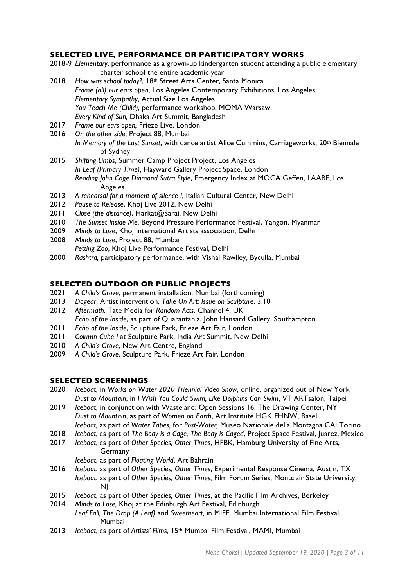### **SELECTED LIVE, PERFORMANCE OR PARTICIPATORY WORKS**

- 2018-9 *Elementary*, performance as a grown-up kindergarten student attending a public elementary charter school the entire academic year
- 2018 *How was school today?*, 18th Street Arts Center, Santa Monica *Frame (all) our ears open*, Los Angeles Contemporary Exhibitions, Los Angeles *Elementary Sympathy*, Actual Size Los Angeles *You Teach Me (Child)*, performance workshop, MOMA Warsaw *Every Kind of Sun,* Dhaka Art Summit, Bangladesh
- 2017 *Frame our ears open,* Frieze Live, London
- 2016 *On the other side*, Project 88, Mumbai *In Memory of the Last Sunset*, with dance artist Alice Cummins, Carriageworks, 20th Biennale of Sydney
- 2015 *Shifting Limbs*, Summer Camp Project Project, Los Angeles *In Leaf (Primary Time)*, Hayward Gallery Project Space, London *Reading John Cage Diamond Sutra Style*, Emergency Index at MOCA Geffen, LAABF, Los Angeles
- 2013 *A rehearsal for a moment of silence I*, Italian Cultural Center, New Delhi
- 2012 *Pause to Release*, Khoj Live 2012, New Delhi
- 2011 *Close (the distance)*, Harkat@Sarai, New Delhi
- 2010 *The Sunset Inside Me*, Beyond Pressure Performance Festival, Yangon, Myanmar
- 2009 *Minds to Lose*, Khoj International Artists association, Delhi
- 2008 *Minds to Lose*, Project 88, Mumbai *Petting Zoo*, Khoj Live Performance Festival, Delhi
- 2000 *Rashtra,* participatory performance, with Vishal Rawlley, Byculla, Mumbai

#### **SELECTED OUTDOOR OR PUBLIC PROJECTS**

- 2021 *A Child's Grove*, permanent installation, Mumbai (forthcoming)
- 2013 *Dogear*, Artist intervention, *Take On Art: Issue on Sculpture*, 3.10
- 2012 *Aftermath,* Tate Media for *Random Acts*, Channel 4, UK *Echo of the Inside*, as part of Quarantania, John Hansard Gallery, Southampton
- 2011 *Echo of the Inside*, Sculpture Park, Frieze Art Fair, London
- 2011 *Column Cube I* at Sculpture Park, India Art Summit, New Delhi
- 2010 *A Child's Grove*, New Art Centre, England
- 2009 *A Child's Grove*, Sculpture Park, Frieze Art Fair, London

#### **SELECTED SCREENINGS**

- 2020 *Iceboat*, in *Works on Water 2020 Triennial Video Show*, online, organized out of New York *Dust to Mountain*, in *I Wish You Could Swim, Like Dolphins Can Swim*, VT ARTsalon, Taipei
- 2019 *Iceboat*, in conjunction with Wasteland: Open Sessions 16, The Drawing Center, NY *Dust to Mountain*, as part of *Women on Earth*, Art Institute HGK FHNW, Basel *Iceboat,* as part of *Water Tapes,* for *Post-Water,* Museo Nazionale della Montagna CAI Torino
- 2018 *Iceboat*, as part of *The Body is a Cage, The Body is Caged*, Project Space Festival, Juarez, Mexico
- 2017 *Iceboat*, as part of *Other Species, Other Times*, HFBK, Hamburg University of Fine Arts, Germany
	- *Iceboat*, as part of *Floating World*, Art Bahrain
- 2016 *Iceboat*, as part of *Other Species, Other Times*, Experimental Response Cinema, Austin, TX *Iceboat*, as part of *Other Species, Other Times,* Film Forum Series, Montclair State University, NJ
- 2015 *Iceboat*, as part of *Other Species, Other Times*, at the Pacific Film Archives, Berkeley
- 2014 *Minds to Lose,* Khoj at the Edinburgh Art Festival, Edinburgh
- *Leaf Fall, The Drop (A Leaf)* and *Sweetheart,* in MIFF, Mumbai International Film Festival, Mumbai
- 2013 *Iceboat*, as part of *Artists' Films,* 15th Mumbai Film Festival, MAMI, Mumbai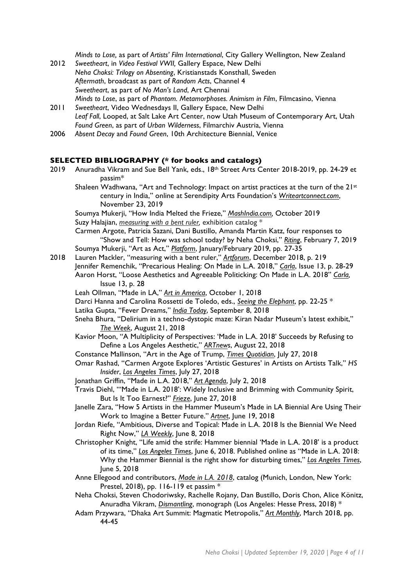*Minds to Lose,* as part of *Artists' Film International*, City Gallery Wellington, New Zealand

- 2012 *Sweetheart*, in *Video Festival VWII,* Gallery Espace, New Delhi *Neha Choksi: Trilogy on Absenting*, Kristianstads Konsthall, Sweden *Aftermath*, broadcast as part of *Random Acts*, Channel 4 *Sweetheart*, as part of *No Man's Land*, Art Chennai *Minds to Lose*, as part of *Phantom. Metamorphoses. Animism in Film*, Filmcasino, Vienna
- 2011 *Sweetheart*, Video Wednesdays II, Gallery Espace, New Delhi *Leaf Fall*, Looped, at Salt Lake Art Center, now Utah Museum of Contemporary Art, Utah *Found Green*, as part of *Urban Wilderness*, Filmarchiv Austria, Vienna
- 2006 *Absent Decay* and *Found Green*, 10th Architecture Biennial, Venice

#### **SELECTED BIBLIOGRAPHY (\* for books and catalogs)**

- 2019 Anuradha Vikram and Sue Bell Yank, eds., 18<sup>th</sup> Street Arts Center 2018-2019, pp. 24-29 et passim\*
	- Shaleen Wadhwana, "Art and Technology: Impact on artist practices at the turn of the 21st century in India," online at Serendipity Arts Foundation's *Writeartconnect.com*, November 23, 2019

Soumya Mukerji, "How India Melted the Frieze," *MashIndia.com,* October 2019 Suzy Halajian, *measuring with a bent ruler,* exhibition catalog \*

Carmen Argote, Patricia Sazani, Dani Bustillo, Amanda Martin Katz, four responses to "Show and Tell: How was school today? by Neha Choksi," *Riting*, February 7, 2019 Soumya Mukerji, "Art as Act," *Platform*, January/February 2019, pp. 27-35

- 2018 Lauren Mackler, "measuring with a bent ruler," *Artforum*, December 2018, p. 219 Jennifer Remenchik, "Precarious Healing: On Made in L.A. 2018," *Carla*, Issue 13, p. 28-29 Aaron Horst, "Loose Aesthetics and Agreeable Politicking: On Made in L.A. 2018" *Carla,*  Issue 13, p. 28
	- Leah Ollman, "Made in LA," *Art in America*, October 1, 2018
	- Darci Hanna and Carolina Rossetti de Toledo, eds., *Seeing the Elephant*, pp. 22-25 \*
	- Latika Gupta, "Fever Dreams," *India Today*, September 8, 2018
	- Sneha Bhura, "Delirium in a techno-dystopic maze: Kiran Nadar Museum's latest exhibit," *The Week*, August 21, 2018
	- Kavior Moon, "A Multiplicity of Perspectives: 'Made in L.A. 2018' Succeeds by Refusing to Define a Los Angeles Aesthetic," *ARTnews*, August 22, 2018
	- Constance Mallinson, "Art in the Age of Trump, *Times Quotidian*, July 27, 2018
	- Omar Rashad, "Carmen Argote Explores 'Artistic Gestures' in Artists on Artists Talk," *HS Insider*, *Los Angeles Times*, July 27, 2018
	- Jonathan Griffin, "Made in L.A. 2018," *Art Agenda*, July 2, 2018
	- Travis Diehl, "'Made in L.A. 2018': Widely Inclusive and Brimming with Community Spirit, But Is It Too Earnest?" *Frieze*, June 27, 2018
	- Janelle Zara, "How 5 Artists in the Hammer Museum's Made in LA Biennial Are Using Their Work to Imagine a Better Future." *Artnet*, June 19, 2018
	- Jordan Riefe, "Ambitious, Diverse and Topical: Made in L.A. 2018 Is the Biennial We Need Right Now," *LA Weekly*, June 8, 2018
	- Christopher Knight, "Life amid the strife: Hammer biennial 'Made in L.A. 2018' is a product of its time," *Los Angeles Times*, June 6, 2018. Published online as "Made in L.A. 2018: Why the Hammer Biennial is the right show for disturbing times," *Los Angeles Times*, June 5, 2018
	- Anne Ellegood and contributors, *Made in L.A. 2018*, catalog (Munich, London, New York: Prestel, 2018), pp. 116-119 et passim \*
	- Neha Choksi, Steven Chodoriwsky, Rachelle Rojany, Dan Bustillo, Doris Chon, Alice Könitz, Anuradha Vikram, *Dismantling*, monograph (Los Angeles: Hesse Press, 2018) \*
	- Adam Przywara, "Dhaka Art Summit: Magmatic Metropolis," *Art Monthly*, March 2018, pp. 44-45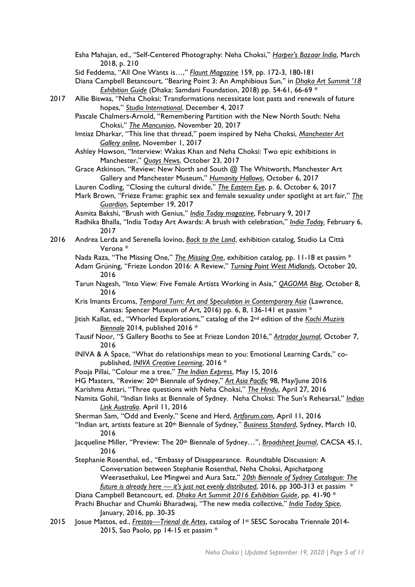Esha Mahajan, ed., "Self-Centered Photography: Neha Choksi," *Harper's Bazaar India*, March 2018, p. 210

Sid Feddema, "All One Wants is…," *Flaunt Magazine* 159, pp. 172-3, 180-181

Diana Campbell Betancourt, "Bearing Point 3: An Amphibious Sun," in *Dhaka Art Summit '18 Exhibition Guide* (Dhaka: Samdani Foundation, 2018) pp. 54-61, 66-69 \*

- 2017 Allie Biswas, "Neha Choksi: Transformations necessitate lost pasts and renewals of future hopes," *Studio International*, December 4, 2017
	- Pascale Chalmers-Arnold, "Remembering Partition with the New North South: Neha Choksi," *The Mancunion*, November 20, 2017
	- Imtiaz Dharkar, "This line that thread," poem inspired by Neha Choksi, *Manchester Art Gallery online*, November 1, 2017

Ashley Howson, "Interview: Wakas Khan and Neha Choksi: Two epic exhibitions in Manchester," *Quays News*, October 23, 2017

Grace Atkinson, "Review: New North and South @ The Whitworth, Manchester Art Gallery and Manchester Museum," *Humanity Hallows*, October 6, 2017

Lauren Codling, "Closing the cultural divide," *The Eastern Eye*, p. 6, October 6, 2017

Mark Brown, "Frieze Frame: graphic sex and female sexuality under spotlight at art fair," *The Guardian*, September 19, 2017

Asmita Bakshi, "Brush with Genius," *India Today magazine*, February 9, 2017

- Radhika Bhalla, "India Today Art Awards: A brush with celebration," *India Today,* February 6, 2017
- 2016 Andrea Lerda and Serenella Iovino, *Back to the Land*, exhibition catalog, Studio La Città Verona \*

Nada Raza, "The Missing One," *The Missing One*, exhibition catalog, pp. 11-18 et passim \*

- Adam Grüning, "Frieze London 2016: A Review," *Turning Point West Midlands*, October 20, 2016
- Tarun Nagesh, "Into View: Five Female Artists Working in Asia," *QAGOMA Blog*, October 8, 2016
- Kris Imants Ercums, *Temporal Turn: Art and Speculation in Contemporary Asia* (Lawrence, Kansas: Spencer Museum of Art, 2016) pp. 6, 8, 136-141 et passim \*
- Jitish Kallat, ed., "Whorled Explorations," catalog of the 2nd edition of the *Kochi Muziris Biennale* 2014, published 2016 \*
- Tausif Noor, "5 Gallery Booths to See at Frieze London 2016," *Artradar Journal*, October 7, 2016
- INIVA & A Space, "What do relationships mean to you: Emotional Learning Cards," copublished, *INIVA Creative Learning*, 2016 \*
- Pooja Pillai, "Colour me a tree," *The Indian Express*, May 15, 2016
- HG Masters, "Review: 20th Biennale of Sydney," *Art Asia Pacific* 98, May/June 2016

Karishma Attari, "Three questions with Neha Choksi," *The Hindu*, April 27, 2016

Namita Gohil, "Indian links at Biennale of Sydney. Neha Choksi: The Sun's Rehearsal," *Indian Link Australia*. April 11, 2016

Sherman Sam, "Odd and Evenly," Scene and Herd, *Artforum.com*, April 11, 2016

- "Indian art, artists feature at 20th Biennale of Sydney," *Business Standard*, Sydney, March 10, 2016
- Jacqueline Miller, "Preview: The 20th Biennale of Sydney…", *Broadsheet Journal*, CACSA 45.1, 2016
- Stephanie Rosenthal, ed., "Embassy of Disappearance. Roundtable Discussion: A Conversation between Stephanie Rosenthal, Neha Choksi, Apichatpong Weerasethakul, Lee Mingwei and Aura Satz," *20th Biennale of Sydney Catalogue: The future is already here — it's just not evenly distributed*, 2016, pp 300-313 et passim \* Diana Campbell Betancourt, ed. *Dhaka Art Summit 2016 Exhibition Guide*, pp. 41-90 \*
- Prachi Bhuchar and Chumki Bharadwaj, "The new media collective," *India Today Spice*, January, 2016, pp. 30-35
- 2015 Josue Mattos, ed., *Frestas—Trienal de Artes*, catalog of 1st SESC Sorocaba Triennale 2014- 2015, Sao Paolo, pp 14-15 et passim \*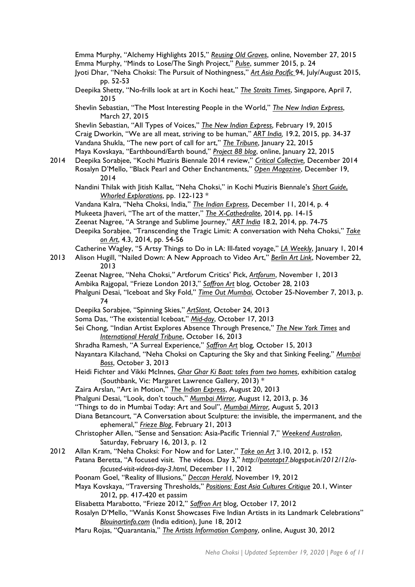Emma Murphy, "Alchemy Highlights 2015," *Reusing Old Graves*, online, November 27, 2015 Emma Murphy, "Minds to Lose/The Singh Project," *Pulse*, summer 2015, p. 24 Jyoti Dhar, "Neha Choksi: The Pursuit of Nothingness," *Art Asia Pacific* 94, July/August 2015, pp. 52-53 Deepika Shetty, "No-frills look at art in Kochi heat," *The Straits Times*, Singapore, April 7, 2015 Shevlin Sebastian, "The Most Interesting People in the World," *The New Indian Express*, March 27, 2015 Shevlin Sebastian, "All Types of Voices," *The New Indian Express*, February 19, 2015 Craig Dworkin, "We are all meat, striving to be human," *ART India,* 19.2, 2015, pp. 34-37 Vandana Shukla, "The new port of call for art," *The Tribune*, January 22, 2015 Maya Kovskaya, "Earthbound/Earth bound," *Project 88 blog*, online, January 22, 2015 2014 Deepika Sorabjee, "Kochi Muziris Biennale 2014 review," *Critical Collective,* December 2014 Rosalyn D'Mello, "Black Pearl and Other Enchantments," *Open Magazine*, December 19, 2014 Nandini Thilak with Jitish Kallat, "Neha Choksi," in Kochi Muziris Biennale's *Short Guide*, *Whorled Explorations*, pp. 122-123 \* Vandana Kalra, "Neha Choksi, India," *The Indian Express*, December 11, 2014, p. 4 Mukeeta Jhaveri, "The art of the matter," *The X-Cathedralite*, 2014, pp. 14-15 Zeenat Nagree, "A Strange and Sublime Journey," *ART India* 18.2, 2014, pp. 74-75 Deepika Sorabjee, "Transcending the Tragic Limit: A conversation with Neha Choksi," *Take on Art*, 4.3, 2014, pp. 54-56 Catherine Wagley, "5 Artsy Things to Do in LA: Ill-fated voyage," *LA Weekly*, January 1, 2014 2013 Alison Hugill, "Nailed Down: A New Approach to Video Art," *Berlin Art Link*, November 22, 2013 Zeenat Nagree, "Neha Choksi,*"* Artforum Critics' Pick, *Artforum*, November 1, 2013 Ambika Rajgopal, "Frieze London 2013," *Saffron Art* blog, October 28, 2103 Phalguni Desai, "Iceboat and Sky Fold," *Time Out Mumbai*, October 25-November 7, 2013, p. 74 Deepika Sorabjee, "Spinning Skies," *ArtSlant*, October 24, 2013 Soma Das, "The existential Iceboat," *Mid-day*, October 17, 2013 Sei Chong, "Indian Artist Explores Absence Through Presence," *The New York Times* and *International Herald Tribune*, October 16, 2013 Shradha Ramesh, "A Surreal Experience," *Saffron Art* blog*,* October 15, 2013 Nayantara Kilachand, "Neha Choksi on Capturing the Sky and that Sinking Feeling," *Mumbai Boss*, October 3, 2013 Heidi Fichter and Vikki McInnes, *Ghar Ghar Ki Baat: tales from two homes*, exhibition catalog (Southbank, Vic: Margaret Lawrence Gallery, 2013) \* Zaira Arslan, "Art in Motion," *The Indian Express*, August 20, 2013 Phalguni Desai, "Look, don't touch," *Mumbai Mirror*, August 12, 2013, p. 36 "Things to do in Mumbai Today: Art and Soul", *Mumbai Mirror,* August 5, 2013 Diana Betancourt, "A Conversation about Sculpture: the invisible, the impermanent, and the ephemeral," *Frieze Blog*, February 21, 2013 Christopher Allen, "Sense and Sensation: Asia-Pacific Triennial 7," *Weekend Australian*, Saturday, February 16, 2013, p. 12 2012 Allan Kram, "Neha Choksi: For Now and for Later," *Take on Art* 3.10, 2012, p. 152 Patana Beretta, "A focused visit. The videos. Day 3," *http://patatapt7.blogspot.in/2012/12/afocused-visit-videos-day-3.html*, December 11, 2012 Poonam Goel, "Reality of Illusions," *Deccan Herald*, November 19, 2012 Maya Kovskaya, "Traversing Thresholds," *Positions: East Asia Cultures Critique* 20.1, Winter 2012, pp. 417-420 et passim Elisabetta Marabotto, "Frieze 2012," *Saffron Art* blog, October 17, 2012 Rosalyn D'Mello, "Wanås Konst Showcases Five Indian Artists in its Landmark Celebrations" *Blouinartinfo.com* (India edition), June 18, 2012 Maru Rojas, "Quarantania," *The Artists Information Company*, online, August 30, 2012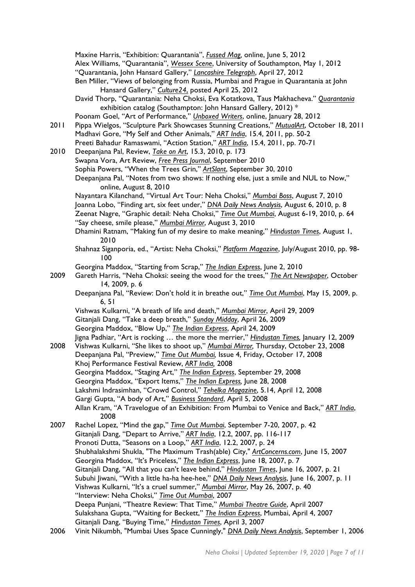|      | Maxine Harris, "Exhibition: Quarantania", <i>Fussed Mag</i> , online, June 5, 2012                                                                     |
|------|--------------------------------------------------------------------------------------------------------------------------------------------------------|
|      | Alex Williams, "Quarantania", Wessex Scene, University of Southampton, May 1, 2012                                                                     |
|      | "Quarantania, John Hansard Gallery," Lancashire Telegraph, April 27, 2012                                                                              |
|      | Ben Miller, "Views of belonging from Russia, Mumbai and Prague in Quarantania at John                                                                  |
|      | Hansard Gallery," Culture24, posted April 25, 2012                                                                                                     |
|      | David Thorp, "Quarantania: Neha Choksi, Eva Kotatkova, Taus Makhacheva." Quarantania<br>exhibition catalog (Southampton: John Hansard Gallery, 2012) * |
|      | Poonam Goel, "Art of Performance," <i>Unboxed Writers</i> , online, January 28, 2012                                                                   |
|      |                                                                                                                                                        |
| 2011 | Pippa Wielgos, "Sculpture Park Showcases Stunning Creations," MutualArt, October 18, 2011                                                              |
|      | Madhavi Gore, "My Self and Other Animals," ART India, 15.4, 2011, pp. 50-2                                                                             |
|      | Preeti Bahadur Ramaswami, "Action Station," ART India, 15.4, 2011, pp. 70-71                                                                           |
| 2010 | Deepanjana Pal, Review, Take on Art, 15.3, 2010, p. 173                                                                                                |
|      | Swapna Vora, Art Review, Free Press Journal, September 2010                                                                                            |
|      | Sophia Powers, "When the Trees Grin," ArtSlant, September 30, 2010                                                                                     |
|      | Deepanjana Pal, "Notes from two shows: If nothing else, just a smile and NUL to Now,"<br>online, August 8, 2010                                        |
|      | Nayantara Kilanchand, "Virtual Art Tour: Neha Choksi," Mumbai Boss, August 7, 2010                                                                     |
|      | Joanna Lobo, "Finding art, six feet under," DNA Daily News Analysis, August 6, 2010, p. 8                                                              |
|      | Zeenat Nagre, "Graphic detail: Neha Choksi," Time Out Mumbai, August 6-19, 2010, p. 64                                                                 |
|      | "Say cheese, smile please," Mumbai Mirror, August 3, 2010                                                                                              |
|      | Dhamini Ratnam, "Making fun of my desire to make meaning," Hindustan Times, August I,<br>2010                                                          |
|      | Shahnaz Siganporia, ed., "Artist: Neha Choksi," Platform Magazine, July/August 2010, pp. 98-<br>100                                                    |
|      | Georgina Maddox, "Starting from Scrap," The Indian Express, June 2, 2010                                                                               |
| 2009 | Gareth Harris, "Neha Choksi: seeing the wood for the trees," The Art Newspaper, October<br>14, 2009, p. 6                                              |
|      | Deepanjana Pal, "Review: Don't hold it in breathe out," Time Out Mumbai, May 15, 2009, p.<br>6, 51                                                     |
|      | Vishwas Kulkarni, "A breath of life and death," Mumbai Mirror, April 29, 2009                                                                          |
|      | Gitanjali Dang, "Take a deep breath," Sunday Midday, April 26, 2009                                                                                    |
|      | Georgina Maddox, "Blow Up," The Indian Express, April 24, 2009                                                                                         |
|      | Jigna Padhiar, "Art is rocking  the more the merrier," Hindustan Times, January 12, 2009                                                               |
| 2008 | Vishwas Kulkarni, "She likes to shoot up," Mumbai Mirror, Thursday, October 23, 2008                                                                   |
|      | Deepanjana Pal, "Preview," Time Out Mumbai, Issue 4, Friday, October 17, 2008                                                                          |
|      |                                                                                                                                                        |
|      | Khoj Performance Festival Review, ART India, 2008                                                                                                      |
|      | Georgina Maddox, "Staging Art," The Indian Express, September 29, 2008                                                                                 |
|      | Georgina Maddox, "Export Items," The Indian Express, June 28, 2008                                                                                     |
|      | Lakshmi Indrasimhan, "Crowd Control," Tehelka Magazine, 5.14, April 12, 2008                                                                           |
|      | Gargi Gupta, "A body of Art," Business Standard, April 5, 2008                                                                                         |
|      | Allan Kram, "A Travelogue of an Exhibition: From Mumbai to Venice and Back," ART India,<br>2008                                                        |
| 2007 | Rachel Lopez, "Mind the gap," Time Out Mumbai, September 7-20, 2007, p. 42                                                                             |
|      | Gitanjali Dang, "Depart to Arrive," ART India, 12.2, 2007, pp. 116-117                                                                                 |
|      | Pronoti Dutta, "Seasons on a Loop," ART India, 12.2, 2007, p. 24                                                                                       |
|      | Shubhalakshmi Shukla, "The Maximum Trash(able) City," ArtConcerns.com, June 15, 2007                                                                   |
|      | Georgina Maddox, "It's Priceless," The Indian Express, June 18, 2007, p. 7                                                                             |
|      | Gitanjali Dang, "All that you can't leave behind," Hindustan Times, June 16, 2007, p. 21                                                               |
|      | Subuhi Jiwani, "With a little ha-ha hee-hee," DNA Daily News Analysis, June 16, 2007, p. 11                                                            |
|      | Vishwas Kulkarni, "It's a cruel summer," Mumbai Mirror, May 26, 2007, p. 40                                                                            |
|      | "Interview: Neha Choksi," Time Out Mumbai, 2007                                                                                                        |
|      | Deepa Punjani, "Theatre Review: That Time," Mumbai Theatre Guide, April 2007                                                                           |
|      | Sulakshana Gupta, "Waiting for Beckett," The Indian Express, Mumbai, April 4, 2007                                                                     |
|      | Gitanjali Dang, "Buying Time," Hindustan Times, April 3, 2007                                                                                          |
| 2006 | Vinit Nikumbh, "Mumbai Uses Space Cunningly," DNA Daily News Analysis, September 1, 2006                                                               |
|      |                                                                                                                                                        |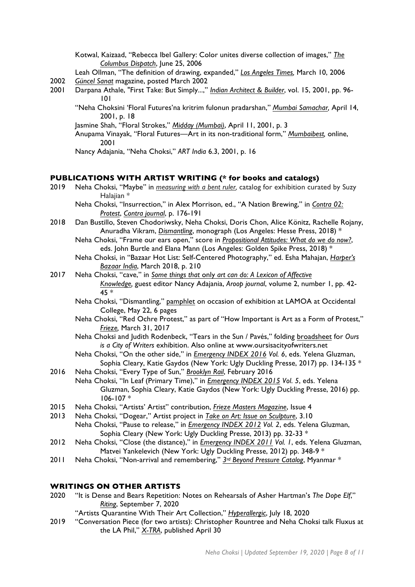Kotwal, Kaizaad, "Rebecca Ibel Gallery: Color unites diverse collection of images," *The Columbus Dispatch*, June 25, 2006

- Leah Ollman, "The definition of drawing, expanded," *Los Angeles Times,* March 10, 2006
- 2002 *Güncel Sanat* magazine, posted March 2002
- 2001 Darpana Athale, "First Take: But Simply...," *Indian Architect & Builder*, vol. 15, 2001, pp. 96- 101
	- "Neha Choksini 'Floral Futures'na kritrim fulonun pradarshan," *Mumbai Samachar,* April 14, 2001, p. 18
	- Jasmine Shah, "Floral Strokes," *Midday (Mumbai)*, April 11, 2001, p. 3
	- Anupama Vinayak, "Floral Futures—Art in its non-traditional form," *Mumbaibest,* online, 2001
	- Nancy Adajania, "Neha Choksi," *ART India* 6.3, 2001, p. 16

#### **PUBLICATIONS WITH ARTIST WRITING (\* for books and catalogs)**

- 2019 Neha Choksi, "Maybe" in *measuring with a bent ruler,* catalog for exhibition curated by Suzy Halajian \*
	- Neha Choksi, "Insurrection," in Alex Morrison, ed., "A Nation Brewing," in *Contra 02: Protest*, *Contra journal*, p. 176-191
- 2018 Dan Bustillo, Steven Chodoriwsky, Neha Choksi, Doris Chon, Alice Könitz, Rachelle Rojany, Anuradha Vikram, *Dismantling*, monograph (Los Angeles: Hesse Press, 2018) \*
	- Neha Choksi, "Frame our ears open," score in *Propositional Attitudes: What do we do now?*, eds. John Burtle and Elana Mann (Los Angeles: Golden Spike Press, 2018) \*
	- Neha Choksi, in "Bazaar Hot List: Self-Centered Photography," ed. Esha Mahajan, *Harper's Bazaar India*, March 2018, p. 210
- 2017 Neha Choksi, "cave," in *Some things that* only *art can do: A Lexicon of Affective Knowledge,* guest editor Nancy Adajania, *Aroop journal*, volume 2, number 1, pp. 42- 45 \*
	- Neha Choksi, "Dismantling," pamphlet on occasion of exhibition at LAMOA at Occidental College, May 22, 6 pages
	- Neha Choksi, "Red Ochre Protest," as part of "How Important is Art as a Form of Protest," *Frieze,* March 31, 2017
	- Neha Choksi and Judith Rodenbeck, "Tears in the Sun / Pavés," folding broadsheet for *Ours is a City of Writers* exhibition. Also online at www.oursisacityofwriters.net
	- Neha Choksi, "On the other side," in *Emergency INDEX 2016 Vol. 6*, eds. Yelena Gluzman, Sophia Cleary, Katie Gaydos (New York: Ugly Duckling Presse, 2017) pp. 134-135 \*
- 2016 Neha Choksi, "Every Type of Sun," *Brooklyn Rail*, February 2016
- Neha Choksi, "In Leaf (Primary Time)," in *Emergency INDEX 2015 Vol*. *5*, eds. Yelena Gluzman, Sophia Cleary, Katie Gaydos (New York: Ugly Duckling Presse, 2016) pp. 106-107 \*
- 2015 Neha Choksi, "Artists' Artist" contribution, *Frieze Masters Magazine*, Issue 4
- 2013 Neha Choksi, "Dogear," Artist project in *Take on Art: Issue on Sculpture*, 3.10 Neha Choksi, "Pause to release," in *Emergency INDEX 2012 Vol. 2*, eds. Yelena Gluzman, Sophia Cleary (New York: Ugly Duckling Presse, 2013) pp. 32-33 \*
- 2012 Neha Choksi, "Close (the distance)," in *Emergency INDEX 2011 Vol. 1*, eds. Yelena Gluzman, Matvei Yankelevich (New York: Ugly Duckling Presse, 2012) pp. 348-9 \*
- 2011 Neha Choksi, "Non-arrival and remembering," *3rd Beyond Pressure Catalog*, Myanmar \*

## **WRITINGS ON OTHER ARTISTS**

- 2020 "It is Dense and Bears Repetition: Notes on Rehearsals of Asher Hartman's *The Dope Elf*," *Riting*, September 7, 2020
	- "Artists Quarantine With Their Art Collection," *Hyperallergic*, July 18, 2020
- 2019 "Conversation Piece (for two artists): Christopher Rountree and Neha Choksi talk Fluxus at the LA Phil," *X-TRA*, published April 30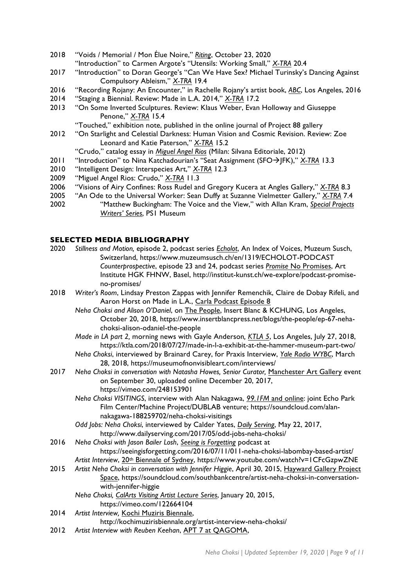- 2018 "Voids / Memorial / Mon Élue Noire," *Riting*, October 23, 2020 "Introduction" to Carmen Argote's "Utensils: Working Small," *X-TRA* 20.4
- 2017 "Introduction" to Doran George's "Can We Have Sex? Michael Turinsky's Dancing Against Compulsory Ableism," *X-TRA* 19.4
- 2016 "Recording Rojany: An Encounter," in Rachelle Rojany's artist book, *ABC*, Los Angeles, 2016
- 2014 "Staging a Biennial. Review: Made in L.A. 2014," *X-TRA* 17.2
- 2013 "On Some Inverted Sculptures. Review: Klaus Weber, Evan Holloway and Giuseppe Penone," *X-TRA* 15.4

"Touched," exhibition note, published in the online journal of Project 88 gallery

2012 "On Starlight and Celestial Darkness: Human Vision and Cosmic Revision. Review: Zoe Leonard and Katie Paterson," *X-TRA* 15.2

"Crudo," catalog essay in *Miguel Angel Rios* (Milan: Silvana Editoriale, 2012)

- 2011 "Introduction" to Nina Katchadourian's "Seat Assignment (SFO→JFK)," *X-TRA* 13.3
- 2010 "Intelligent Design: Interspecies Art," *X-TRA* 12.3
- 2009 "Miguel Angel Rios: Crudo," *X-TRA* 11.3
- 2006 "Visions of Airy Confines: Ross Rudel and Gregory Kucera at Angles Gallery," *X-TRA* 8.3
- 2005 "An Ode to the Universal Worker: Sean Duffy at Suzanne Vielmetter Gallery," *X-TRA* 7.4
- 2002 "Matthew Buckingham: The Voice and the View," with Allan Kram, *Special Projects Writers' Series*, PS1 Museum

### **SELECTED MEDIA BIBLIOGRAPHY**

- 2020 *Stillness and Motion,* episode 2, podcast series *Echolot*, An Index of Voices, Muzeum Susch, Switzerland, https://www.muzeumsusch.ch/en/1319/ECHOLOT-PODCAST *Counterprospective*, episode 23 and 24, podcast series *Promise* No Promises, Art Institute HGK FHNW, Basel, http://institut-kunst.ch/we-explore/podcast-promiseno-promises/
- 2018 *Writer's Room*, Lindsay Preston Zappas with Jennifer Remenchik, Claire de Dobay Rifeli, and Aaron Horst on Made in L.A., Carla Podcast Episode 8
	- *Neha Choksi and Alison O'Daniel*, on The People, Insert Blanc & KCHUNG, Los Angeles, October 20, 2018, https://www.insertblancpress.net/blogs/the-people/ep-67-nehachoksi-alison-odaniel-the-people
	- *Made in LA part 2,* morning news with Gayle Anderson*, KTLA 5*, Los Angeles, July 27, 2018, https://ktla.com/2018/07/27/made-in-l-a-exhibit-at-the-hammer-museum-part-two/
	- *Neha Choksi*, interviewed by Brainard Carey, for Praxis Interview, *Yale Radio WYBC*, March 28, 2018, https://museumofnonvisibleart.com/interviews/
- 2017 Neha Choksi in conversation with Natasha Howes, Senior Curator, Manchester Art Gallery event on September 30, uploaded online December 20, 2017, https://vimeo.com/248153901
	- *Neha Choksi VISITINGS*, interview with Alan Nakagawa, *99.1FM* and online: joint Echo Park Film Center/Machine Project/DUBLAB venture; https://soundcloud.com/alannakagawa-188259702/neha-choksi-visitings
	- *Odd Jobs: Neha Choksi*, interviewed by Calder Yates, *Daily Serving*, May 22, 2017, http://www.dailyserving.com/2017/05/odd-jobs-neha-choksi/
- 2016 *Neha Choksi with Jason Bailer Losh*, *Seeing is Forgetting* podcast at https://seeingisforgetting.com/2016/07/11/011-neha-choksi-labombay-based-artist/ *Artist Interview*, 20th Biennale of Sydney, https://www.youtube.com/watch?v=1CFcGzpwZNE
- 2015 *Artist Neha Choksi in conversation with Jennifer Higgie*, April 30, 2015, Hayward Gallery Project Space, https://soundcloud.com/southbankcentre/artist-neha-choksi-in-conversationwith-jennifer-higgie
	- *Neha Choksi, CalArts Visiting Artist Lecture Series*, January 20, 2015, https://vimeo.com/122664104
- 2014 *Artist Interview,* Kochi Muziris Biennale, http://kochimuzirisbiennale.org/artist-interview-neha-choksi/
- 2012 *Artist Interview with Reuben Keehan*, APT 7 at QAGOMA,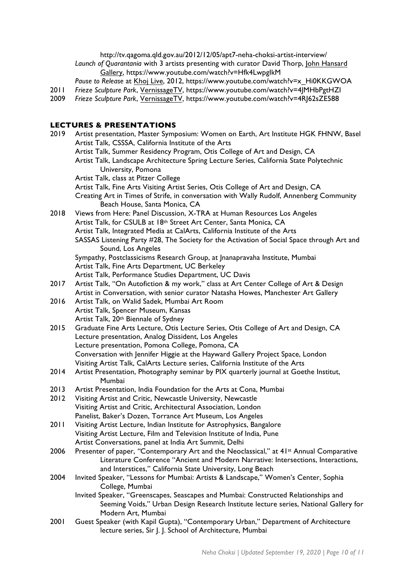http://tv.qagoma.qld.gov.au/2012/12/05/apt7-neha-choksi-artist-interview/ *Launch of Quarantania* with 3 artists presenting with curator David Thorp, John Hansard Gallery, https://www.youtube.com/watch?v=Hfk4LwpgIkM

*Pause to Release* at Khoj Live, 2012, https://www.youtube.com/watch?v=x\_Hi0KKGWOA

- 2011 *Frieze Sculpture Park*, VernissageTV, https://www.youtube.com/watch?v=4JMHbPgtHZI<br>2009 Frieze Sculpture Park, VernissageTV, https://www.youtube.com/watch?v=4RJ62sZE588
- 2009 *Frieze Sculpture Park*, VernissageTV, https://www.youtube.com/watch?v=4RJ62sZE588

### **LECTURES & PRESENTATIONS**

| 2019 | Artist presentation, Master Symposium: Women on Earth, Art Institute HGK FHNW, Basel                |
|------|-----------------------------------------------------------------------------------------------------|
|      | Artist Talk, CSSSA, California Institute of the Arts                                                |
|      | Artist Talk, Summer Residency Program, Otis College of Art and Design, CA                           |
|      | Artist Talk, Landscape Architecture Spring Lecture Series, California State Polytechnic             |
|      | University, Pomona                                                                                  |
|      | Artist Talk, class at Pitzer College                                                                |
|      | Artist Talk, Fine Arts Visiting Artist Series, Otis College of Art and Design, CA                   |
|      | Creating Art in Times of Strife, in conversation with Wally Rudolf, Annenberg Community             |
|      | Beach House, Santa Monica, CA                                                                       |
| 2018 | Views from Here: Panel Discussion, X-TRA at Human Resources Los Angeles                             |
|      | Artist Talk, for CSULB at 18th Street Art Center, Santa Monica, CA                                  |
|      | Artist Talk, Integrated Media at CalArts, California Institute of the Arts                          |
|      | SASSAS Listening Party #28, The Society for the Activation of Social Space through Art and          |
|      | Sound, Los Angeles                                                                                  |
|      | Sympathy, Postclassicisms Research Group, at Jnanapravaha Institute, Mumbai                         |
|      | Artist Talk, Fine Arts Department, UC Berkeley                                                      |
|      | Artist Talk, Performance Studies Department, UC Davis                                               |
| 2017 | Artist Talk, "On Autofiction & my work," class at Art Center College of Art & Design                |
|      | Artist in Conversation, with senior curator Natasha Howes, Manchester Art Gallery                   |
| 2016 | Artist Talk, on Walid Sadek, Mumbai Art Room                                                        |
|      | Artist Talk, Spencer Museum, Kansas                                                                 |
|      | Artist Talk, 20th Biennale of Sydney                                                                |
| 2015 | Graduate Fine Arts Lecture, Otis Lecture Series, Otis College of Art and Design, CA                 |
|      | Lecture presentation, Analog Dissident, Los Angeles                                                 |
|      | Lecture presentation, Pomona College, Pomona, CA                                                    |
|      | Conversation with Jennifer Higgie at the Hayward Gallery Project Space, London                      |
|      | Visiting Artist Talk, CalArts Lecture series, California Institute of the Arts                      |
| 2014 | Artist Presentation, Photography seminar by PIX quarterly journal at Goethe Institut,               |
|      | Mumbai                                                                                              |
| 2013 | Artist Presentation, India Foundation for the Arts at Cona, Mumbai                                  |
| 2012 | Visiting Artist and Critic, Newcastle University, Newcastle                                         |
|      | Visiting Artist and Critic, Architectural Association, London                                       |
|      | Panelist, Baker's Dozen, Torrance Art Museum, Los Angeles                                           |
| 2011 | Visiting Artist Lecture, Indian Institute for Astrophysics, Bangalore                               |
|      | Visiting Artist Lecture, Film and Television Institute of India, Pune                               |
|      | Artist Conversations, panel at India Art Summit, Delhi                                              |
| 2006 | Presenter of paper, "Contemporary Art and the Neoclassical," at 41 <sup>st</sup> Annual Comparative |
|      | Literature Conference "Ancient and Modern Narrative: Intersections, Interactions,                   |
|      | and Interstices," California State University, Long Beach                                           |
| 2004 | Invited Speaker, "Lessons for Mumbai: Artists & Landscape," Women's Center, Sophia                  |
|      | College, Mumbai                                                                                     |
|      | Invited Speaker, "Greenscapes, Seascapes and Mumbai: Constructed Relationships and                  |
|      | Seeming Voids," Urban Design Research Institute lecture series, National Gallery for                |
|      | Modern Art, Mumbai                                                                                  |
| 2001 | Guest Speaker (with Kapil Gupta), "Contemporary Urban," Department of Architecture                  |
|      | lecture series, Sir J. J. School of Architecture, Mumbai                                            |